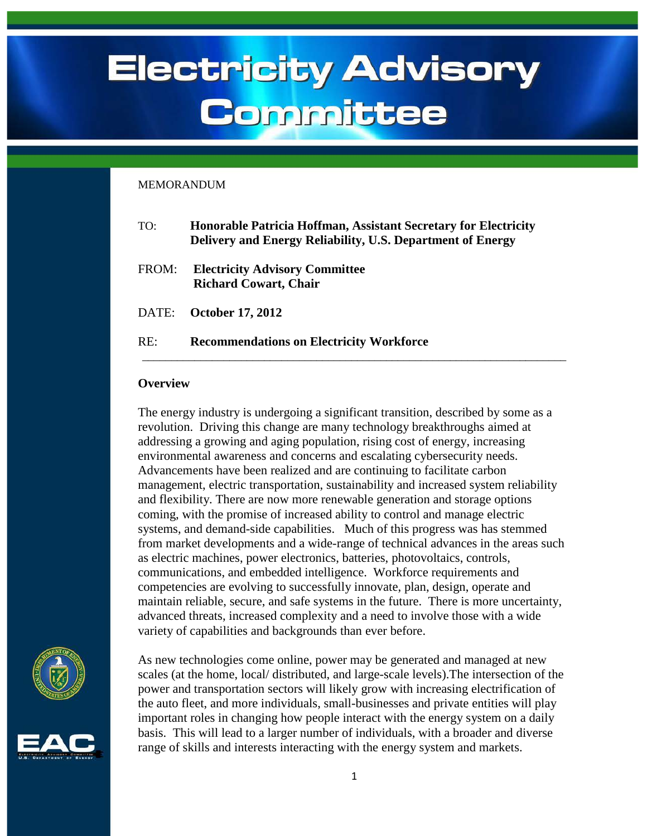# **Electricity Advisory** Committee

#### **MEMORANDUM**

| TO:   | <b>Honorable Patricia Hoffman, Assistant Secretary for Electricity</b><br>Delivery and Energy Reliability, U.S. Department of Energy |
|-------|--------------------------------------------------------------------------------------------------------------------------------------|
| FROM: | <b>Electricity Advisory Committee</b><br><b>Richard Cowart, Chair</b>                                                                |
| DATE: | <b>October 17, 2012</b>                                                                                                              |
| RE:   | <b>Recommendations on Electricity Workforce</b>                                                                                      |
|       |                                                                                                                                      |

#### **Overview**

The energy industry is undergoing a significant transition, described by some as a revolution. Driving this change are many technology breakthroughs aimed at addressing a growing and aging population, rising cost of energy, increasing environmental awareness and concerns and escalating cybersecurity needs. Advancements have been realized and are continuing to facilitate carbon management, electric transportation, sustainability and increased system reliability and flexibility. There are now more renewable generation and storage options coming, with the promise of increased ability to control and manage electric systems, and demand-side capabilities. Much of this progress was has stemmed from market developments and a wide-range of technical advances in the areas such as electric machines, power electronics, batteries, photovoltaics, controls, communications, and embedded intelligence. Workforce requirements and competencies are evolving to successfully innovate, plan, design, operate and maintain reliable, secure, and safe systems in the future. There is more uncertainty, advanced threats, increased complexity and a need to involve those with a wide variety of capabilities and backgrounds than ever before.



<span id="page-0-0"></span>

As new technologies come online, power may be generated and managed at new scales (at the home, local/ distributed, and large-scale levels).The intersection of the power and transportation sectors will likely grow with increasing electrification of the auto fleet, and more individuals, small-businesses and private entities will play important roles in changing how people interact with the energy system on a daily basis. This will lead to a larger number of individuals, with a broader and diverse range of skills and interests interacting with the energy system and markets.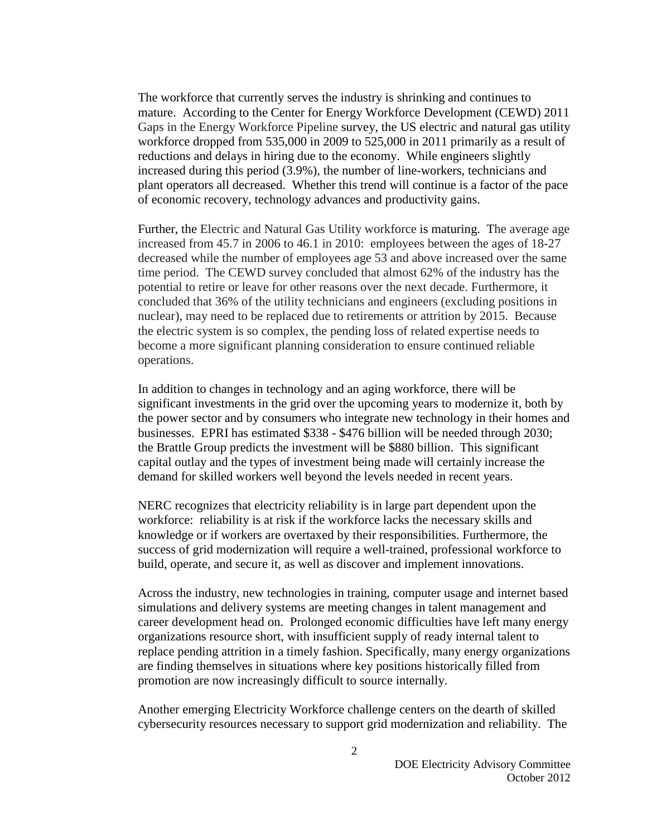The workforce that currently serves the industry is shrinking and continues to mature. According to the Center for Energy Workforce Development (CEWD) 2011 Gaps in the Energy Workforce Pipeline survey, the US electric and natural gas utility workforce dropped from 535,000 in 2009 to 525,000 in 2011 primarily as a result of reductions and delays in hiring due to the economy. While engineers slightly increased during this period (3.9%), the number of line-workers, technicians and plant operators all decreased. Whether this trend will continue is a factor of the pace of economic recovery, technology advances and productivity gains.

Further, the Electric and Natural Gas Utility workforce is maturing. The average age increased from 45.7 in 2006 to 46.1 in 2010: employees between the ages of 18-27 decreased while the number of employees age 53 and above increased over the same time period. The CEWD survey concluded that almost 62% of the industry has the potential to retire or leave for other reasons over the next decade. Furthermore, it concluded that 36% of the utility technicians and engineers (excluding positions in nuclear), may need to be replaced due to retirements or attrition by 2015. Because the electric system is so complex, the pending loss of related expertise needs to become a more significant planning consideration to ensure continued reliable operations.

In addition to changes in technology and an aging workforce, there will be significant investments in the grid over the upcoming years to modernize it, both by the power sector and by consumers who integrate new technology in their homes and businesses. EPRI has estimated \$338 - \$476 billion will be needed through 2030; the Brattle Group predicts the investment will be \$880 billion. This significant capital outlay and the types of investment being made will certainly increase the demand for skilled workers well beyond the levels needed in recent years.

NERC recognizes that electricity reliability is in large part dependent upon the workforce: reliability is at risk if the workforce lacks the necessary skills and knowledge or if workers are overtaxed by their responsibilities. Furthermore, the success of grid modernization will require a well-trained, professional workforce to build, operate, and secure it, as well as discover and implement innovations.

Across the industry, new technologies in training, computer usage and internet based simulations and delivery systems are meeting changes in talent management and career development head on. Prolonged economic difficulties have left many energy organizations resource short, with insufficient supply of ready internal talent to replace pending attrition in a timely fashion. Specifically, many energy organizations are finding themselves in situations where key positions historically filled from promotion are now increasingly difficult to source internally.

Another emerging Electricity Workforce challenge centers on the dearth of skilled cybersecurity resources necessary to support grid modernization and reliability. The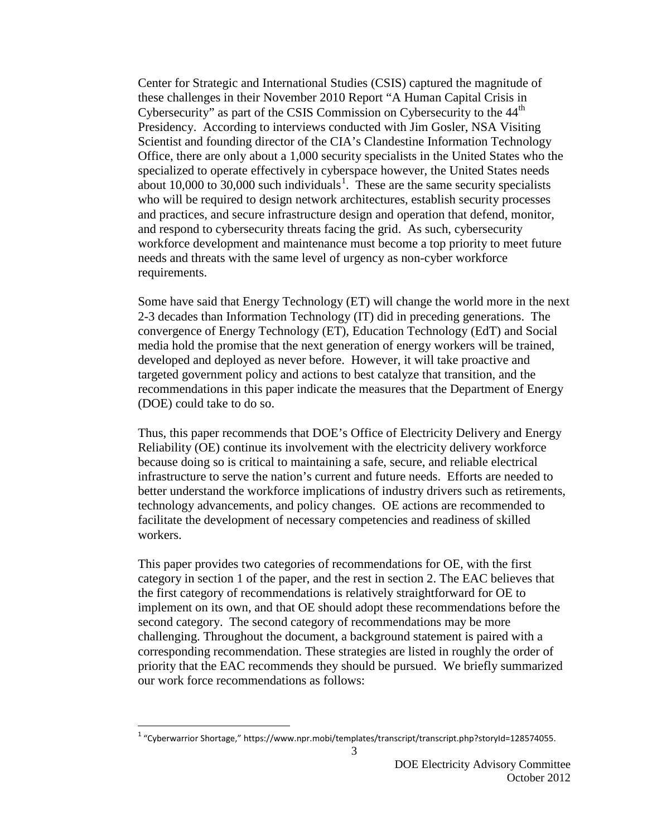Center for Strategic and International Studies (CSIS) captured the magnitude of these challenges in their November 2010 Report "A Human Capital Crisis in Cybersecurity" as part of the CSIS Commission on Cybersecurity to the 44<sup>th</sup> Presidency. According to interviews conducted with Jim Gosler, NSA Visiting Scientist and founding director of the CIA's Clandestine Information Technology Office, there are only about a 1,000 security specialists in the United States who the specialized to operate effectively in cyberspace however, the United States needs about [1](#page-0-0)0,000 to 30,000 such individuals<sup>1</sup>. These are the same security specialists who will be required to design network architectures, establish security processes and practices, and secure infrastructure design and operation that defend, monitor, and respond to cybersecurity threats facing the grid. As such, cybersecurity workforce development and maintenance must become a top priority to meet future needs and threats with the same level of urgency as non-cyber workforce requirements.

Some have said that Energy Technology (ET) will change the world more in the next 2-3 decades than Information Technology (IT) did in preceding generations. The convergence of Energy Technology (ET), Education Technology (EdT) and Social media hold the promise that the next generation of energy workers will be trained, developed and deployed as never before. However, it will take proactive and targeted government policy and actions to best catalyze that transition, and the recommendations in this paper indicate the measures that the Department of Energy (DOE) could take to do so.

Thus, this paper recommends that DOE's Office of Electricity Delivery and Energy Reliability (OE) continue its involvement with the electricity delivery workforce because doing so is critical to maintaining a safe, secure, and reliable electrical infrastructure to serve the nation's current and future needs. Efforts are needed to better understand the workforce implications of industry drivers such as retirements, technology advancements, and policy changes. OE actions are recommended to facilitate the development of necessary competencies and readiness of skilled workers.

This paper provides two categories of recommendations for OE, with the first category in section 1 of the paper, and the rest in section 2. The EAC believes that the first category of recommendations is relatively straightforward for OE to implement on its own, and that OE should adopt these recommendations before the second category. The second category of recommendations may be more challenging. Throughout the document, a background statement is paired with a corresponding recommendation. These strategies are listed in roughly the order of priority that the EAC recommends they should be pursued. We briefly summarized our work force recommendations as follows:

 $1$  "Cyberwarrior Shortage," https://www.npr.mobi/templates/transcript/transcript.php?storyId=128574055.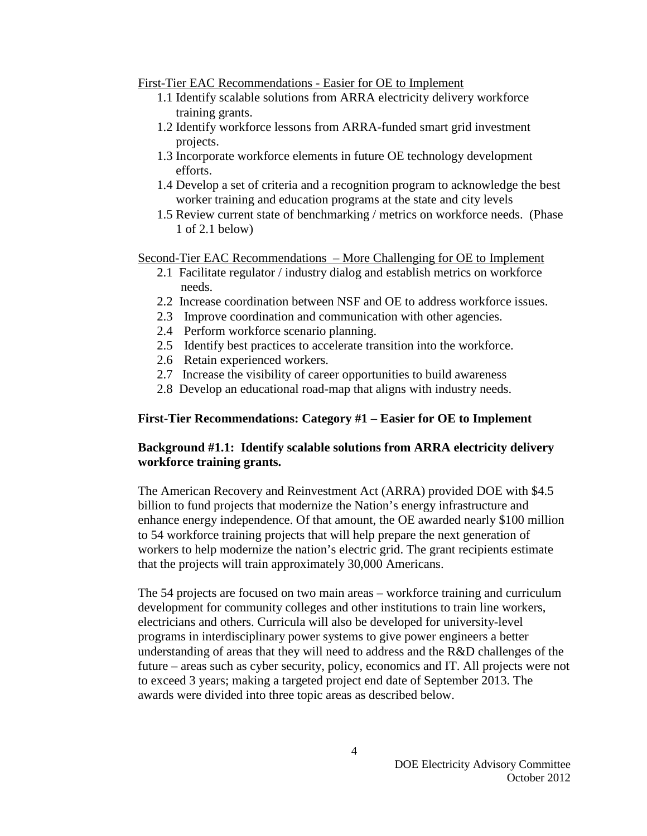#### First-Tier EAC Recommendations - Easier for OE to Implement

- 1.1 Identify scalable solutions from ARRA electricity delivery workforce training grants.
- 1.2 Identify workforce lessons from ARRA-funded smart grid investment projects.
- 1.3 Incorporate workforce elements in future OE technology development efforts.
- 1.4 Develop a set of criteria and a recognition program to acknowledge the best worker training and education programs at the state and city levels
- 1.5 Review current state of benchmarking / metrics on workforce needs. (Phase 1 of 2.1 below)

Second-Tier EAC Recommendations – More Challenging for OE to Implement

- 2.1 Facilitate regulator / industry dialog and establish metrics on workforce needs.
- 2.2 Increase coordination between NSF and OE to address workforce issues.
- 2.3 Improve coordination and communication with other agencies.
- 2.4 Perform workforce scenario planning.
- 2.5 Identify best practices to accelerate transition into the workforce.
- 2.6 Retain experienced workers.
- 2.7 Increase the visibility of career opportunities to build awareness
- 2.8 Develop an educational road-map that aligns with industry needs.

## **First-Tier Recommendations: Category #1 – Easier for OE to Implement**

## **Background #1.1: Identify scalable solutions from ARRA electricity delivery workforce training grants.**

The American Recovery and Reinvestment Act (ARRA) provided DOE with \$4.5 billion to fund projects that modernize the Nation's energy infrastructure and enhance energy independence. Of that amount, the OE awarded nearly \$100 million to 54 workforce training projects that will help prepare the next generation of workers to help modernize the nation's electric grid. The grant recipients estimate that the projects will train approximately 30,000 Americans.

The 54 projects are focused on two main areas – workforce training and curriculum development for community colleges and other institutions to train line workers, electricians and others. Curricula will also be developed for university-level programs in interdisciplinary power systems to give power engineers a better understanding of areas that they will need to address and the R&D challenges of the future – areas such as cyber security, policy, economics and IT. All projects were not to exceed 3 years; making a targeted project end date of September 2013. The awards were divided into three topic areas as described below.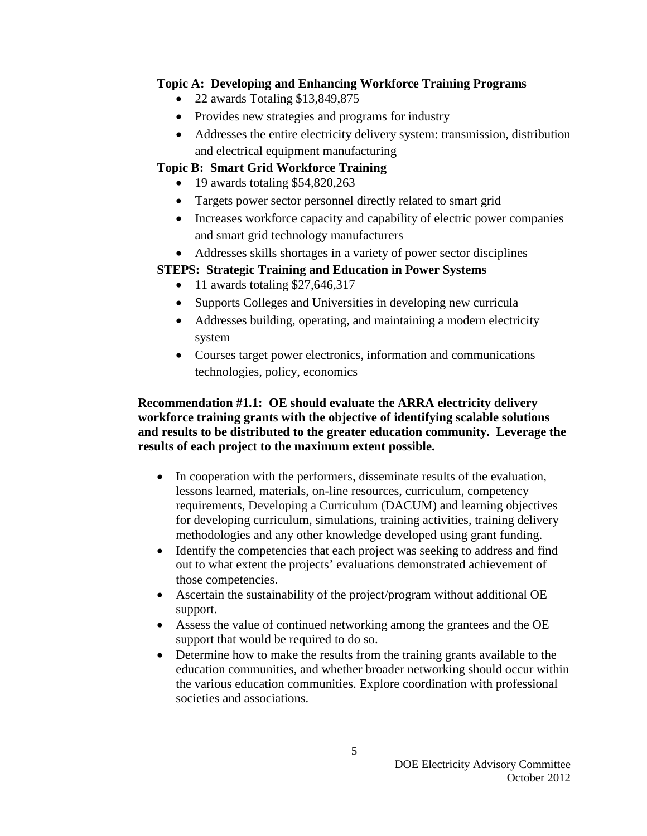# **Topic A: Developing and Enhancing Workforce Training Programs**

- 22 awards Totaling \$13,849,875
- Provides new strategies and programs for industry
- Addresses the entire electricity delivery system: transmission, distribution and electrical equipment manufacturing

# **Topic B: Smart Grid Workforce Training**

- 19 awards totaling \$54,820,263
- Targets power sector personnel directly related to smart grid
- Increases workforce capacity and capability of electric power companies and smart grid technology manufacturers
- Addresses skills shortages in a variety of power sector disciplines

# **STEPS: Strategic Training and Education in Power Systems**

- 11 awards totaling \$27,646,317
- Supports Colleges and Universities in developing new curricula
- Addresses building, operating, and maintaining a modern electricity system
- Courses target power electronics, information and communications technologies, policy, economics

## **Recommendation #1.1: OE should evaluate the ARRA electricity delivery workforce training grants with the objective of identifying scalable solutions and results to be distributed to the greater education community. Leverage the results of each project to the maximum extent possible.**

- In cooperation with the performers, disseminate results of the evaluation, lessons learned, materials, on-line resources, curriculum, competency requirements, Developing a Curriculum (DACUM) and learning objectives for developing curriculum, simulations, training activities, training delivery methodologies and any other knowledge developed using grant funding.
- Identify the competencies that each project was seeking to address and find out to what extent the projects' evaluations demonstrated achievement of those competencies.
- Ascertain the sustainability of the project/program without additional OE support.
- Assess the value of continued networking among the grantees and the OE support that would be required to do so.
- Determine how to make the results from the training grants available to the education communities, and whether broader networking should occur within the various education communities. Explore coordination with professional societies and associations.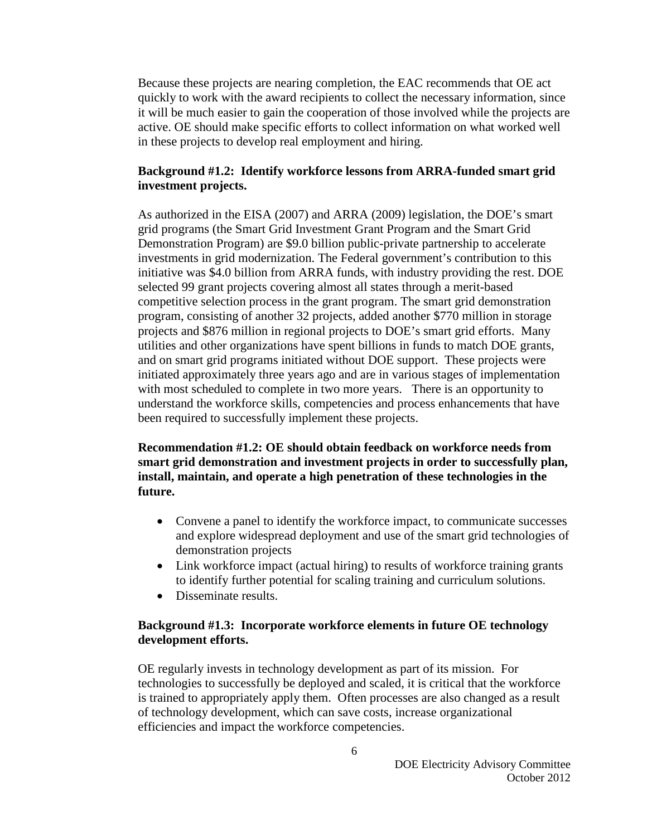Because these projects are nearing completion, the EAC recommends that OE act quickly to work with the award recipients to collect the necessary information, since it will be much easier to gain the cooperation of those involved while the projects are active. OE should make specific efforts to collect information on what worked well in these projects to develop real employment and hiring.

#### **Background #1.2: Identify workforce lessons from ARRA-funded smart grid investment projects.**

As authorized in the EISA (2007) and ARRA (2009) legislation, the DOE's smart grid programs (the Smart Grid Investment Grant Program and the Smart Grid Demonstration Program) are \$9.0 billion public-private partnership to accelerate investments in grid modernization. The Federal government's contribution to this initiative was \$4.0 billion from ARRA funds, with industry providing the rest. DOE selected 99 grant projects covering almost all states through a merit-based competitive selection process in the grant program. The smart grid demonstration program, consisting of another 32 projects, added another \$770 million in storage projects and \$876 million in regional projects to DOE's smart grid efforts. Many utilities and other organizations have spent billions in funds to match DOE grants, and on smart grid programs initiated without DOE support. These projects were initiated approximately three years ago and are in various stages of implementation with most scheduled to complete in two more years. There is an opportunity to understand the workforce skills, competencies and process enhancements that have been required to successfully implement these projects.

#### **Recommendation #1.2: OE should obtain feedback on workforce needs from smart grid demonstration and investment projects in order to successfully plan, install, maintain, and operate a high penetration of these technologies in the future.**

- Convene a panel to identify the workforce impact, to communicate successes and explore widespread deployment and use of the smart grid technologies of demonstration projects
- Link workforce impact (actual hiring) to results of workforce training grants to identify further potential for scaling training and curriculum solutions.
- Disseminate results.

#### **Background #1.3: Incorporate workforce elements in future OE technology development efforts.**

OE regularly invests in technology development as part of its mission. For technologies to successfully be deployed and scaled, it is critical that the workforce is trained to appropriately apply them. Often processes are also changed as a result of technology development, which can save costs, increase organizational efficiencies and impact the workforce competencies.

6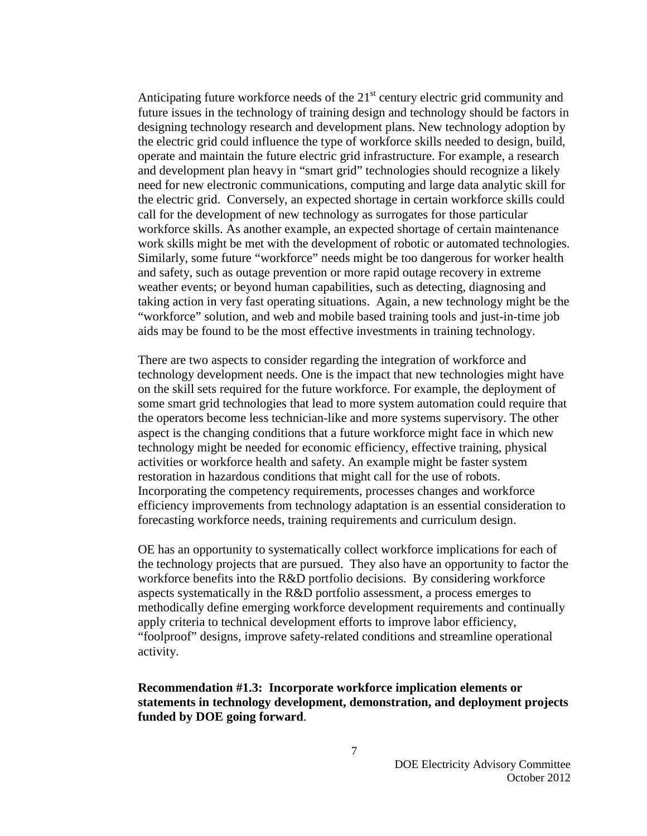Anticipating future workforce needs of the  $21<sup>st</sup>$  century electric grid community and future issues in the technology of training design and technology should be factors in designing technology research and development plans. New technology adoption by the electric grid could influence the type of workforce skills needed to design, build, operate and maintain the future electric grid infrastructure. For example, a research and development plan heavy in "smart grid" technologies should recognize a likely need for new electronic communications, computing and large data analytic skill for the electric grid. Conversely, an expected shortage in certain workforce skills could call for the development of new technology as surrogates for those particular workforce skills. As another example, an expected shortage of certain maintenance work skills might be met with the development of robotic or automated technologies. Similarly, some future "workforce" needs might be too dangerous for worker health and safety, such as outage prevention or more rapid outage recovery in extreme weather events; or beyond human capabilities, such as detecting, diagnosing and taking action in very fast operating situations. Again, a new technology might be the "workforce" solution, and web and mobile based training tools and just-in-time job aids may be found to be the most effective investments in training technology.

There are two aspects to consider regarding the integration of workforce and technology development needs. One is the impact that new technologies might have on the skill sets required for the future workforce. For example, the deployment of some smart grid technologies that lead to more system automation could require that the operators become less technician-like and more systems supervisory. The other aspect is the changing conditions that a future workforce might face in which new technology might be needed for economic efficiency, effective training, physical activities or workforce health and safety. An example might be faster system restoration in hazardous conditions that might call for the use of robots. Incorporating the competency requirements, processes changes and workforce efficiency improvements from technology adaptation is an essential consideration to forecasting workforce needs, training requirements and curriculum design.

OE has an opportunity to systematically collect workforce implications for each of the technology projects that are pursued. They also have an opportunity to factor the workforce benefits into the R&D portfolio decisions. By considering workforce aspects systematically in the R&D portfolio assessment, a process emerges to methodically define emerging workforce development requirements and continually apply criteria to technical development efforts to improve labor efficiency, "foolproof" designs, improve safety-related conditions and streamline operational activity.

#### **Recommendation #1.3: Incorporate workforce implication elements or statements in technology development, demonstration, and deployment projects funded by DOE going forward**.

7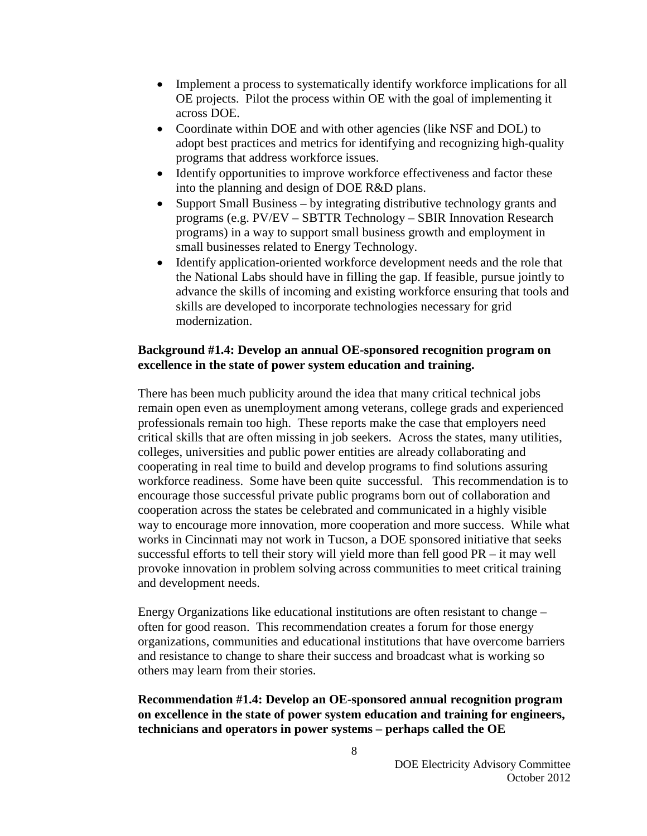- Implement a process to systematically identify workforce implications for all OE projects. Pilot the process within OE with the goal of implementing it across DOE.
- Coordinate within DOE and with other agencies (like NSF and DOL) to adopt best practices and metrics for identifying and recognizing high-quality programs that address workforce issues.
- Identify opportunities to improve workforce effectiveness and factor these into the planning and design of DOE R&D plans.
- Support Small Business by integrating distributive technology grants and programs (e.g. PV/EV – SBTTR Technology – SBIR Innovation Research programs) in a way to support small business growth and employment in small businesses related to Energy Technology.
- Identify application-oriented workforce development needs and the role that the National Labs should have in filling the gap. If feasible, pursue jointly to advance the skills of incoming and existing workforce ensuring that tools and skills are developed to incorporate technologies necessary for grid modernization.

## **Background #1.4: Develop an annual OE-sponsored recognition program on excellence in the state of power system education and training.**

There has been much publicity around the idea that many critical technical jobs remain open even as unemployment among veterans, college grads and experienced professionals remain too high. These reports make the case that employers need critical skills that are often missing in job seekers. Across the states, many utilities, colleges, universities and public power entities are already collaborating and cooperating in real time to build and develop programs to find solutions assuring workforce readiness. Some have been quite successful. This recommendation is to encourage those successful private public programs born out of collaboration and cooperation across the states be celebrated and communicated in a highly visible way to encourage more innovation, more cooperation and more success. While what works in Cincinnati may not work in Tucson, a DOE sponsored initiative that seeks successful efforts to tell their story will yield more than fell good PR – it may well provoke innovation in problem solving across communities to meet critical training and development needs.

Energy Organizations like educational institutions are often resistant to change – often for good reason. This recommendation creates a forum for those energy organizations, communities and educational institutions that have overcome barriers and resistance to change to share their success and broadcast what is working so others may learn from their stories.

## **Recommendation #1.4: Develop an OE-sponsored annual recognition program on excellence in the state of power system education and training for engineers, technicians and operators in power systems – perhaps called the OE**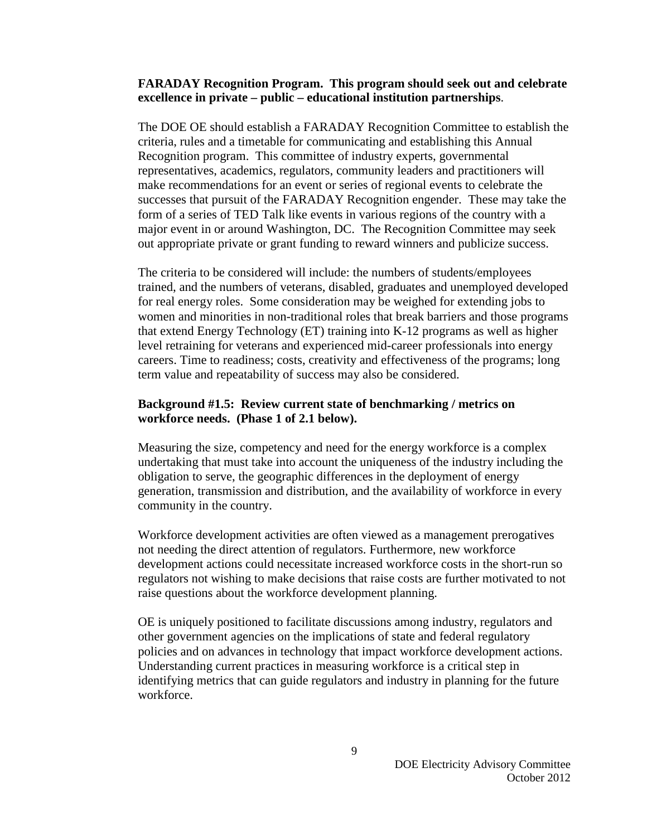#### **FARADAY Recognition Program. This program should seek out and celebrate excellence in private – public – educational institution partnerships**.

The DOE OE should establish a FARADAY Recognition Committee to establish the criteria, rules and a timetable for communicating and establishing this Annual Recognition program. This committee of industry experts, governmental representatives, academics, regulators, community leaders and practitioners will make recommendations for an event or series of regional events to celebrate the successes that pursuit of the FARADAY Recognition engender. These may take the form of a series of TED Talk like events in various regions of the country with a major event in or around Washington, DC. The Recognition Committee may seek out appropriate private or grant funding to reward winners and publicize success.

The criteria to be considered will include: the numbers of students/employees trained, and the numbers of veterans, disabled, graduates and unemployed developed for real energy roles. Some consideration may be weighed for extending jobs to women and minorities in non-traditional roles that break barriers and those programs that extend Energy Technology (ET) training into K-12 programs as well as higher level retraining for veterans and experienced mid-career professionals into energy careers. Time to readiness; costs, creativity and effectiveness of the programs; long term value and repeatability of success may also be considered.

#### **Background #1.5: Review current state of benchmarking / metrics on workforce needs. (Phase 1 of 2.1 below).**

Measuring the size, competency and need for the energy workforce is a complex undertaking that must take into account the uniqueness of the industry including the obligation to serve, the geographic differences in the deployment of energy generation, transmission and distribution, and the availability of workforce in every community in the country.

Workforce development activities are often viewed as a management prerogatives not needing the direct attention of regulators. Furthermore, new workforce development actions could necessitate increased workforce costs in the short-run so regulators not wishing to make decisions that raise costs are further motivated to not raise questions about the workforce development planning.

OE is uniquely positioned to facilitate discussions among industry, regulators and other government agencies on the implications of state and federal regulatory policies and on advances in technology that impact workforce development actions. Understanding current practices in measuring workforce is a critical step in identifying metrics that can guide regulators and industry in planning for the future workforce.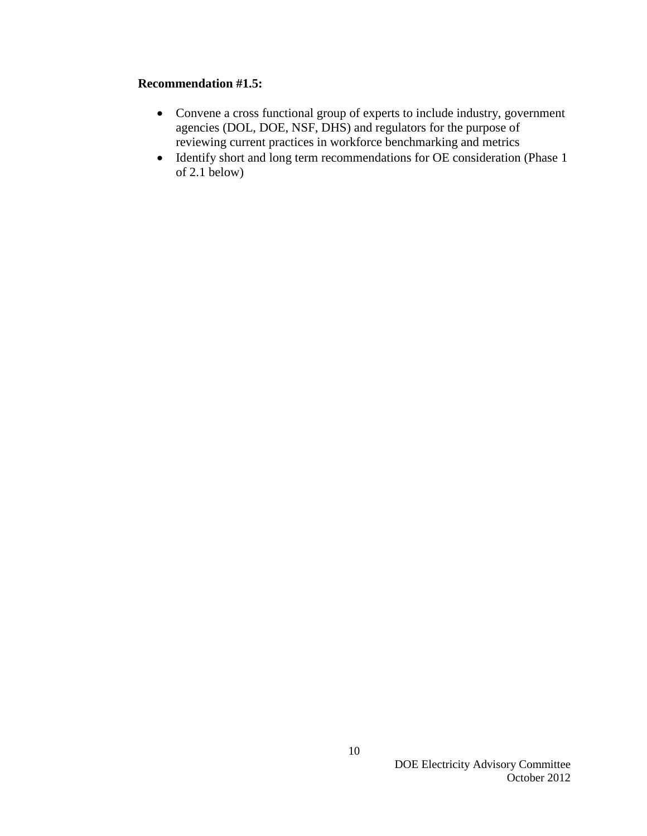#### **Recommendation #1.5:**

- Convene a cross functional group of experts to include industry, government agencies (DOL, DOE, NSF, DHS) and regulators for the purpose of reviewing current practices in workforce benchmarking and metrics
- Identify short and long term recommendations for OE consideration (Phase 1 of 2.1 below)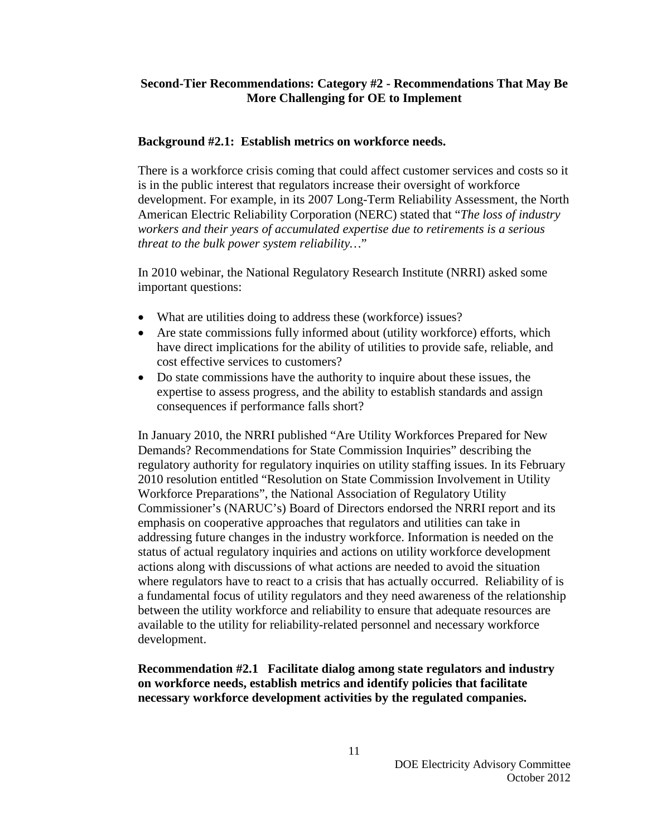#### **Second-Tier Recommendations: Category #2 - Recommendations That May Be More Challenging for OE to Implement**

#### **Background #2.1: Establish metrics on workforce needs.**

There is a workforce crisis coming that could affect customer services and costs so it is in the public interest that regulators increase their oversight of workforce development. For example, in its 2007 Long-Term Reliability Assessment, the North American Electric Reliability Corporation (NERC) stated that "*The loss of industry workers and their years of accumulated expertise due to retirements is a serious threat to the bulk power system reliability…*"

In 2010 webinar, the National Regulatory Research Institute (NRRI) asked some important questions:

- What are utilities doing to address these (workforce) issues?
- Are state commissions fully informed about (utility workforce) efforts, which have direct implications for the ability of utilities to provide safe, reliable, and cost effective services to customers?
- Do state commissions have the authority to inquire about these issues, the expertise to assess progress, and the ability to establish standards and assign consequences if performance falls short?

In January 2010, the NRRI published "Are Utility Workforces Prepared for New Demands? Recommendations for State Commission Inquiries" describing the regulatory authority for regulatory inquiries on utility staffing issues. In its February 2010 resolution entitled "Resolution on State Commission Involvement in Utility Workforce Preparations", the National Association of Regulatory Utility Commissioner's (NARUC's) Board of Directors endorsed the NRRI report and its emphasis on cooperative approaches that regulators and utilities can take in addressing future changes in the industry workforce. Information is needed on the status of actual regulatory inquiries and actions on utility workforce development actions along with discussions of what actions are needed to avoid the situation where regulators have to react to a crisis that has actually occurred. Reliability of is a fundamental focus of utility regulators and they need awareness of the relationship between the utility workforce and reliability to ensure that adequate resources are available to the utility for reliability-related personnel and necessary workforce development.

**Recommendation #2.1 Facilitate dialog among state regulators and industry on workforce needs, establish metrics and identify policies that facilitate necessary workforce development activities by the regulated companies.**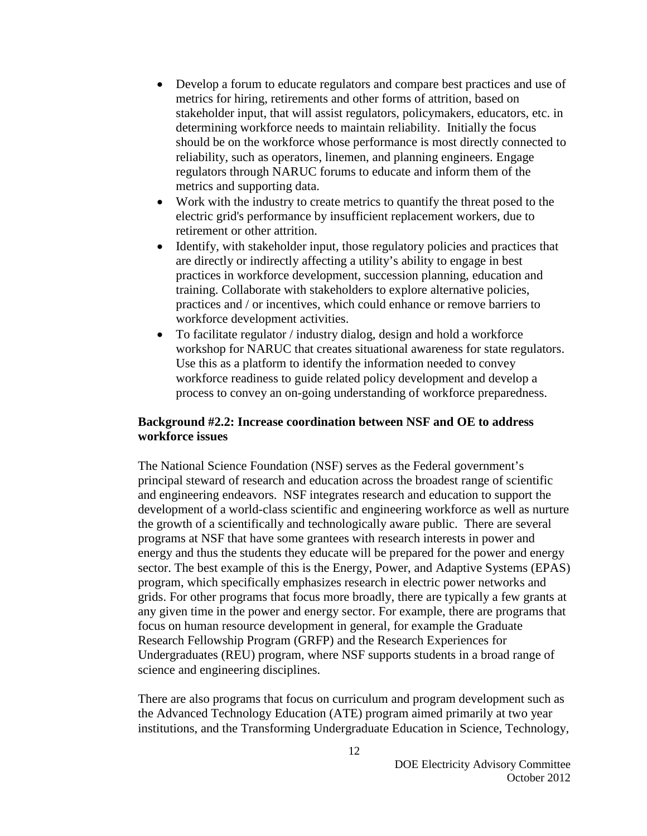- Develop a forum to educate regulators and compare best practices and use of metrics for hiring, retirements and other forms of attrition, based on stakeholder input, that will assist regulators, policymakers, educators, etc. in determining workforce needs to maintain reliability. Initially the focus should be on the workforce whose performance is most directly connected to reliability, such as operators, linemen, and planning engineers. Engage regulators through NARUC forums to educate and inform them of the metrics and supporting data.
- Work with the industry to create metrics to quantify the threat posed to the electric grid's performance by insufficient replacement workers, due to retirement or other attrition.
- Identify, with stakeholder input, those regulatory policies and practices that are directly or indirectly affecting a utility's ability to engage in best practices in workforce development, succession planning, education and training. Collaborate with stakeholders to explore alternative policies, practices and / or incentives, which could enhance or remove barriers to workforce development activities.
- To facilitate regulator / industry dialog, design and hold a workforce workshop for NARUC that creates situational awareness for state regulators. Use this as a platform to identify the information needed to convey workforce readiness to guide related policy development and develop a process to convey an on-going understanding of workforce preparedness.

#### **Background #2.2: Increase coordination between NSF and OE to address workforce issues**

The National Science Foundation (NSF) serves as the Federal government's principal steward of research and education across the broadest range of scientific and engineering endeavors. NSF integrates research and education to support the development of a world-class scientific and engineering workforce as well as nurture the growth of a scientifically and technologically aware public. There are several programs at NSF that have some grantees with research interests in power and energy and thus the students they educate will be prepared for the power and energy sector. The best example of this is the Energy, Power, and Adaptive Systems (EPAS) program, which specifically emphasizes research in electric power networks and grids. For other programs that focus more broadly, there are typically a few grants at any given time in the power and energy sector. For example, there are programs that focus on human resource development in general, for example the Graduate Research Fellowship Program (GRFP) and the Research Experiences for Undergraduates (REU) program, where NSF supports students in a broad range of science and engineering disciplines.

There are also programs that focus on curriculum and program development such as the Advanced Technology Education (ATE) program aimed primarily at two year institutions, and the Transforming Undergraduate Education in Science, Technology,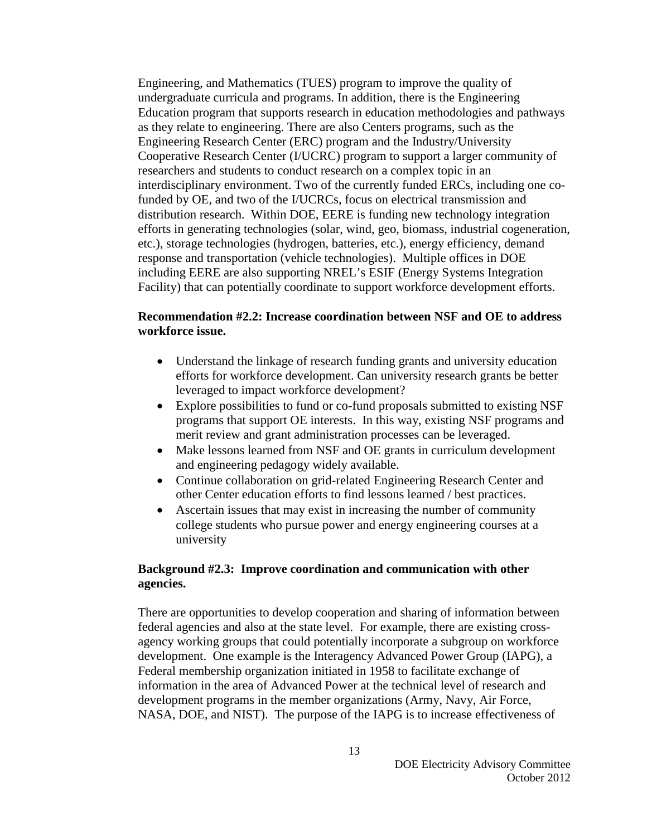Engineering, and Mathematics (TUES) program to improve the quality of undergraduate curricula and programs. In addition, there is the Engineering Education program that supports research in education methodologies and pathways as they relate to engineering. There are also Centers programs, such as the Engineering Research Center (ERC) program and the Industry/University Cooperative Research Center (I/UCRC) program to support a larger community of researchers and students to conduct research on a complex topic in an interdisciplinary environment. Two of the currently funded ERCs, including one cofunded by OE, and two of the I/UCRCs, focus on electrical transmission and distribution research. Within DOE, EERE is funding new technology integration efforts in generating technologies (solar, wind, geo, biomass, industrial cogeneration, etc.), storage technologies (hydrogen, batteries, etc.), energy efficiency, demand response and transportation (vehicle technologies). Multiple offices in DOE including EERE are also supporting NREL's ESIF (Energy Systems Integration Facility) that can potentially coordinate to support workforce development efforts.

## **Recommendation #2.2: Increase coordination between NSF and OE to address workforce issue.**

- Understand the linkage of research funding grants and university education efforts for workforce development. Can university research grants be better leveraged to impact workforce development?
- Explore possibilities to fund or co-fund proposals submitted to existing NSF programs that support OE interests. In this way, existing NSF programs and merit review and grant administration processes can be leveraged.
- Make lessons learned from NSF and OE grants in curriculum development and engineering pedagogy widely available.
- Continue collaboration on grid-related Engineering Research Center and other Center education efforts to find lessons learned / best practices.
- Ascertain issues that may exist in increasing the number of community college students who pursue power and energy engineering courses at a university

#### **Background #2.3: Improve coordination and communication with other agencies.**

There are opportunities to develop cooperation and sharing of information between federal agencies and also at the state level. For example, there are existing crossagency working groups that could potentially incorporate a subgroup on workforce development. One example is the Interagency Advanced Power Group (IAPG), a Federal membership organization initiated in 1958 to facilitate exchange of information in the area of Advanced Power at the technical level of research and development programs in the member organizations (Army, Navy, Air Force, NASA, DOE, and NIST). The purpose of the IAPG is to increase effectiveness of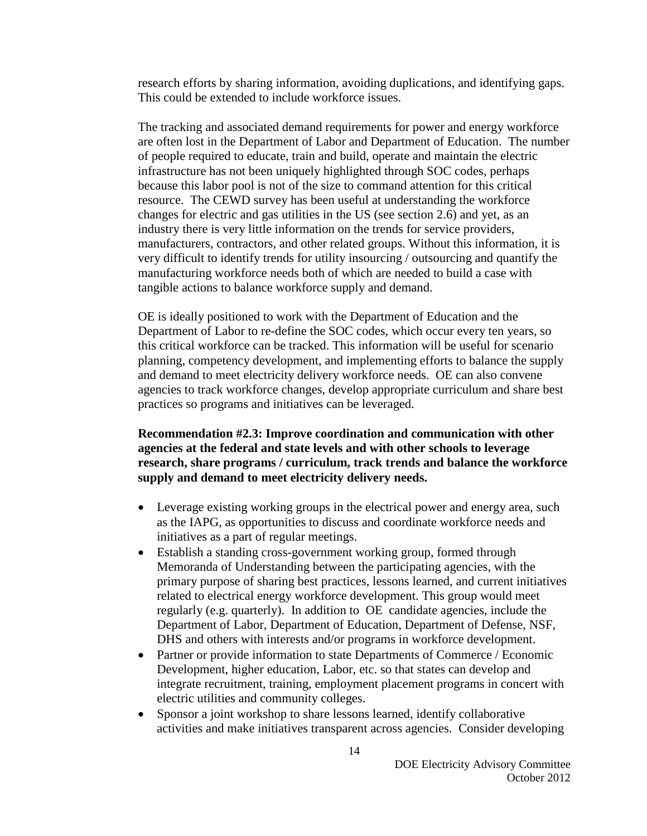research efforts by sharing information, avoiding duplications, and identifying gaps. This could be extended to include workforce issues.

The tracking and associated demand requirements for power and energy workforce are often lost in the Department of Labor and Department of Education. The number of people required to educate, train and build, operate and maintain the electric infrastructure has not been uniquely highlighted through SOC codes, perhaps because this labor pool is not of the size to command attention for this critical resource. The CEWD survey has been useful at understanding the workforce changes for electric and gas utilities in the US (see section 2.6) and yet, as an industry there is very little information on the trends for service providers, manufacturers, contractors, and other related groups. Without this information, it is very difficult to identify trends for utility insourcing / outsourcing and quantify the manufacturing workforce needs both of which are needed to build a case with tangible actions to balance workforce supply and demand.

OE is ideally positioned to work with the Department of Education and the Department of Labor to re-define the SOC codes, which occur every ten years, so this critical workforce can be tracked. This information will be useful for scenario planning, competency development, and implementing efforts to balance the supply and demand to meet electricity delivery workforce needs. OE can also convene agencies to track workforce changes, develop appropriate curriculum and share best practices so programs and initiatives can be leveraged.

#### **Recommendation #2.3: Improve coordination and communication with other agencies at the federal and state levels and with other schools to leverage research, share programs / curriculum, track trends and balance the workforce supply and demand to meet electricity delivery needs.**

- Leverage existing working groups in the electrical power and energy area, such as the IAPG, as opportunities to discuss and coordinate workforce needs and initiatives as a part of regular meetings.
- Establish a standing cross-government working group, formed through Memoranda of Understanding between the participating agencies, with the primary purpose of sharing best practices, lessons learned, and current initiatives related to electrical energy workforce development. This group would meet regularly (e.g. quarterly). In addition to OE candidate agencies, include the Department of Labor, Department of Education, Department of Defense, NSF, DHS and others with interests and/or programs in workforce development.
- Partner or provide information to state Departments of Commerce / Economic Development, higher education, Labor, etc. so that states can develop and integrate recruitment, training, employment placement programs in concert with electric utilities and community colleges.
- Sponsor a joint workshop to share lessons learned, identify collaborative activities and make initiatives transparent across agencies. Consider developing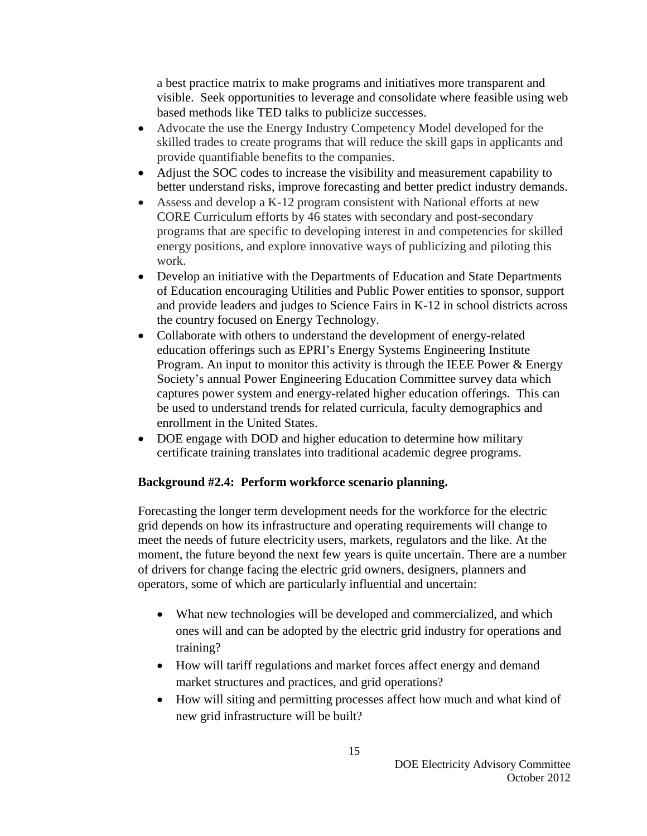a best practice matrix to make programs and initiatives more transparent and visible. Seek opportunities to leverage and consolidate where feasible using web based methods like TED talks to publicize successes.

- Advocate the use the Energy Industry Competency Model developed for the skilled trades to create programs that will reduce the skill gaps in applicants and provide quantifiable benefits to the companies.
- Adjust the SOC codes to increase the visibility and measurement capability to better understand risks, improve forecasting and better predict industry demands.
- Assess and develop a K-12 program consistent with National efforts at new CORE Curriculum efforts by 46 states with secondary and post-secondary programs that are specific to developing interest in and competencies for skilled energy positions, and explore innovative ways of publicizing and piloting this work.
- Develop an initiative with the Departments of Education and State Departments of Education encouraging Utilities and Public Power entities to sponsor, support and provide leaders and judges to Science Fairs in K-12 in school districts across the country focused on Energy Technology.
- Collaborate with others to understand the development of energy-related education offerings such as EPRI's Energy Systems Engineering Institute Program. An input to monitor this activity is through the IEEE Power & Energy Society's annual Power Engineering Education Committee survey data which captures power system and energy-related higher education offerings. This can be used to understand trends for related curricula, faculty demographics and enrollment in the United States.
- DOE engage with DOD and higher education to determine how military certificate training translates into traditional academic degree programs.

## **Background #2.4: Perform workforce scenario planning.**

Forecasting the longer term development needs for the workforce for the electric grid depends on how its infrastructure and operating requirements will change to meet the needs of future electricity users, markets, regulators and the like. At the moment, the future beyond the next few years is quite uncertain. There are a number of drivers for change facing the electric grid owners, designers, planners and operators, some of which are particularly influential and uncertain:

- What new technologies will be developed and commercialized, and which ones will and can be adopted by the electric grid industry for operations and training?
- How will tariff regulations and market forces affect energy and demand market structures and practices, and grid operations?
- How will siting and permitting processes affect how much and what kind of new grid infrastructure will be built?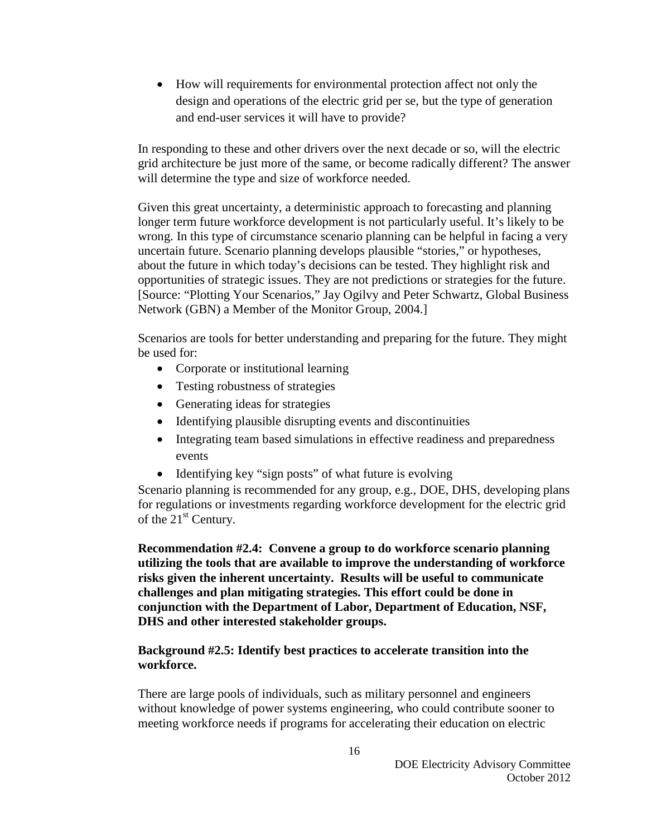• How will requirements for environmental protection affect not only the design and operations of the electric grid per se, but the type of generation and end-user services it will have to provide?

In responding to these and other drivers over the next decade or so, will the electric grid architecture be just more of the same, or become radically different? The answer will determine the type and size of workforce needed.

Given this great uncertainty, a deterministic approach to forecasting and planning longer term future workforce development is not particularly useful. It's likely to be wrong. In this type of circumstance scenario planning can be helpful in facing a very uncertain future. Scenario planning develops plausible "stories," or hypotheses, about the future in which today's decisions can be tested. They highlight risk and opportunities of strategic issues. They are not predictions or strategies for the future. [Source: "Plotting Your Scenarios," Jay Ogilvy and Peter Schwartz, Global Business Network (GBN) a Member of the Monitor Group, 2004.]

Scenarios are tools for better understanding and preparing for the future. They might be used for:

- Corporate or institutional learning
- Testing robustness of strategies
- Generating ideas for strategies
- Identifying plausible disrupting events and discontinuities
- Integrating team based simulations in effective readiness and preparedness events
- Identifying key "sign posts" of what future is evolving

Scenario planning is recommended for any group, e.g., DOE, DHS, developing plans for regulations or investments regarding workforce development for the electric grid of the 21<sup>st</sup> Century.

**Recommendation #2.4: Convene a group to do workforce scenario planning utilizing the tools that are available to improve the understanding of workforce risks given the inherent uncertainty. Results will be useful to communicate challenges and plan mitigating strategies. This effort could be done in conjunction with the Department of Labor, Department of Education, NSF, DHS and other interested stakeholder groups.**

## **Background #2.5: Identify best practices to accelerate transition into the workforce.**

There are large pools of individuals, such as military personnel and engineers without knowledge of power systems engineering, who could contribute sooner to meeting workforce needs if programs for accelerating their education on electric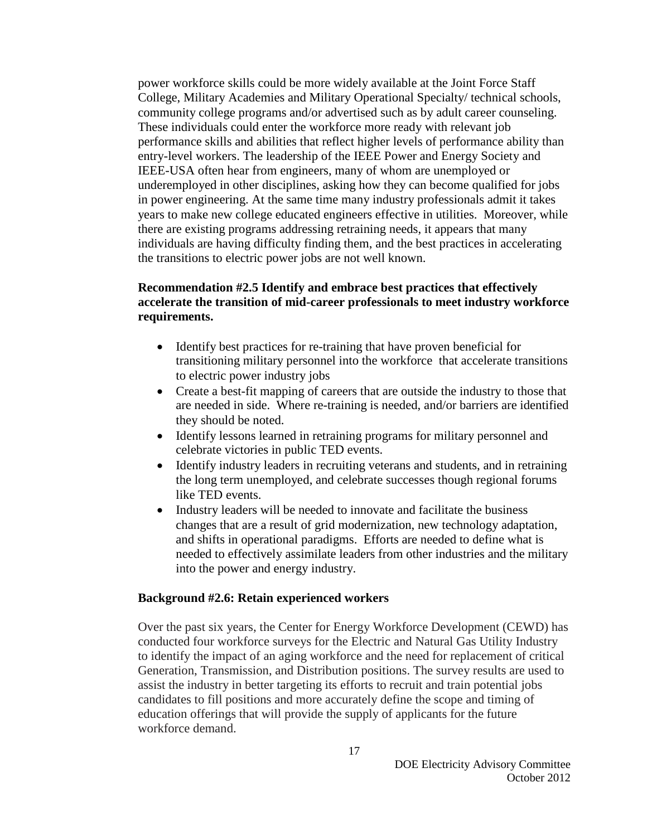power workforce skills could be more widely available at the Joint Force Staff College, Military Academies and Military Operational Specialty/ technical schools, community college programs and/or advertised such as by adult career counseling. These individuals could enter the workforce more ready with relevant job performance skills and abilities that reflect higher levels of performance ability than entry-level workers. The leadership of the IEEE Power and Energy Society and IEEE-USA often hear from engineers, many of whom are unemployed or underemployed in other disciplines, asking how they can become qualified for jobs in power engineering. At the same time many industry professionals admit it takes years to make new college educated engineers effective in utilities. Moreover, while there are existing programs addressing retraining needs, it appears that many individuals are having difficulty finding them, and the best practices in accelerating the transitions to electric power jobs are not well known.

## **Recommendation #2.5 Identify and embrace best practices that effectively accelerate the transition of mid-career professionals to meet industry workforce requirements.**

- Identify best practices for re-training that have proven beneficial for transitioning military personnel into the workforce that accelerate transitions to electric power industry jobs
- Create a best-fit mapping of careers that are outside the industry to those that are needed in side. Where re-training is needed, and/or barriers are identified they should be noted.
- Identify lessons learned in retraining programs for military personnel and celebrate victories in public TED events.
- Identify industry leaders in recruiting veterans and students, and in retraining the long term unemployed, and celebrate successes though regional forums like TED events.
- Industry leaders will be needed to innovate and facilitate the business changes that are a result of grid modernization, new technology adaptation, and shifts in operational paradigms. Efforts are needed to define what is needed to effectively assimilate leaders from other industries and the military into the power and energy industry.

#### **Background #2.6: Retain experienced workers**

Over the past six years, the Center for Energy Workforce Development (CEWD) has conducted four workforce surveys for the Electric and Natural Gas Utility Industry to identify the impact of an aging workforce and the need for replacement of critical Generation, Transmission, and Distribution positions. The survey results are used to assist the industry in better targeting its efforts to recruit and train potential jobs candidates to fill positions and more accurately define the scope and timing of education offerings that will provide the supply of applicants for the future workforce demand.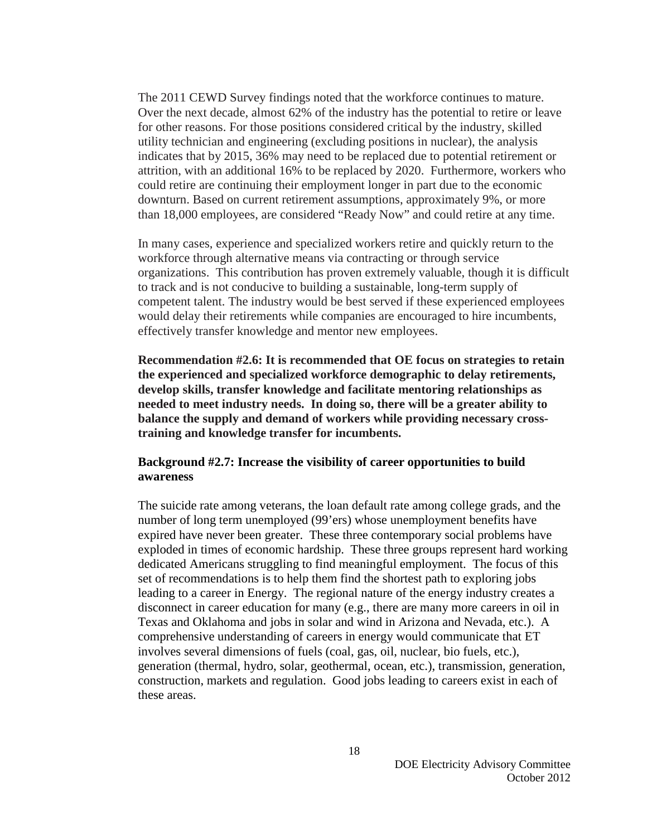The 2011 CEWD Survey findings noted that the workforce continues to mature. Over the next decade, almost 62% of the industry has the potential to retire or leave for other reasons. For those positions considered critical by the industry, skilled utility technician and engineering (excluding positions in nuclear), the analysis indicates that by 2015, 36% may need to be replaced due to potential retirement or attrition, with an additional 16% to be replaced by 2020. Furthermore, workers who could retire are continuing their employment longer in part due to the economic downturn. Based on current retirement assumptions, approximately 9%, or more than 18,000 employees, are considered "Ready Now" and could retire at any time.

In many cases, experience and specialized workers retire and quickly return to the workforce through alternative means via contracting or through service organizations. This contribution has proven extremely valuable, though it is difficult to track and is not conducive to building a sustainable, long-term supply of competent talent. The industry would be best served if these experienced employees would delay their retirements while companies are encouraged to hire incumbents, effectively transfer knowledge and mentor new employees.

**Recommendation #2.6: It is recommended that OE focus on strategies to retain the experienced and specialized workforce demographic to delay retirements, develop skills, transfer knowledge and facilitate mentoring relationships as needed to meet industry needs. In doing so, there will be a greater ability to balance the supply and demand of workers while providing necessary crosstraining and knowledge transfer for incumbents.** 

#### **Background #2.7: Increase the visibility of career opportunities to build awareness**

The suicide rate among veterans, the loan default rate among college grads, and the number of long term unemployed (99'ers) whose unemployment benefits have expired have never been greater. These three contemporary social problems have exploded in times of economic hardship. These three groups represent hard working dedicated Americans struggling to find meaningful employment. The focus of this set of recommendations is to help them find the shortest path to exploring jobs leading to a career in Energy. The regional nature of the energy industry creates a disconnect in career education for many (e.g., there are many more careers in oil in Texas and Oklahoma and jobs in solar and wind in Arizona and Nevada, etc.). A comprehensive understanding of careers in energy would communicate that ET involves several dimensions of fuels (coal, gas, oil, nuclear, bio fuels, etc.), generation (thermal, hydro, solar, geothermal, ocean, etc.), transmission, generation, construction, markets and regulation. Good jobs leading to careers exist in each of these areas.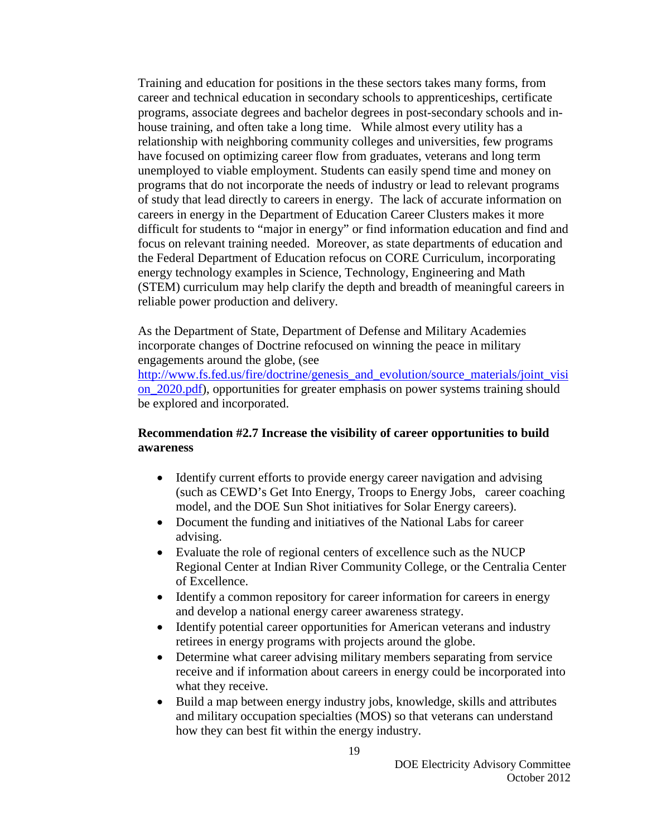Training and education for positions in the these sectors takes many forms, from career and technical education in secondary schools to apprenticeships, certificate programs, associate degrees and bachelor degrees in post-secondary schools and inhouse training, and often take a long time. While almost every utility has a relationship with neighboring community colleges and universities, few programs have focused on optimizing career flow from graduates, veterans and long term unemployed to viable employment. Students can easily spend time and money on programs that do not incorporate the needs of industry or lead to relevant programs of study that lead directly to careers in energy. The lack of accurate information on careers in energy in the Department of Education Career Clusters makes it more difficult for students to "major in energy" or find information education and find and focus on relevant training needed. Moreover, as state departments of education and the Federal Department of Education refocus on CORE Curriculum, incorporating energy technology examples in Science, Technology, Engineering and Math (STEM) curriculum may help clarify the depth and breadth of meaningful careers in reliable power production and delivery.

As the Department of State, Department of Defense and Military Academies incorporate changes of Doctrine refocused on winning the peace in military engagements around the globe, (see

[http://www.fs.fed.us/fire/doctrine/genesis\\_and\\_evolution/source\\_materials/joint\\_visi](http://www.fs.fed.us/fire/doctrine/genesis_and_evolution/source_materials/joint_vision_2020.pdf) [on\\_2020.pdf\)](http://www.fs.fed.us/fire/doctrine/genesis_and_evolution/source_materials/joint_vision_2020.pdf), opportunities for greater emphasis on power systems training should be explored and incorporated.

#### **Recommendation #2.7 Increase the visibility of career opportunities to build awareness**

- Identify current efforts to provide energy career navigation and advising (such as CEWD's Get Into Energy, Troops to Energy Jobs, career coaching model, and the DOE Sun Shot initiatives for Solar Energy careers).
- Document the funding and initiatives of the National Labs for career advising.
- Evaluate the role of regional centers of excellence such as the NUCP Regional Center at Indian River Community College, or the Centralia Center of Excellence.
- Identify a common repository for career information for careers in energy and develop a national energy career awareness strategy.
- Identify potential career opportunities for American veterans and industry retirees in energy programs with projects around the globe.
- Determine what career advising military members separating from service receive and if information about careers in energy could be incorporated into what they receive.
- Build a map between energy industry jobs, knowledge, skills and attributes and military occupation specialties (MOS) so that veterans can understand how they can best fit within the energy industry.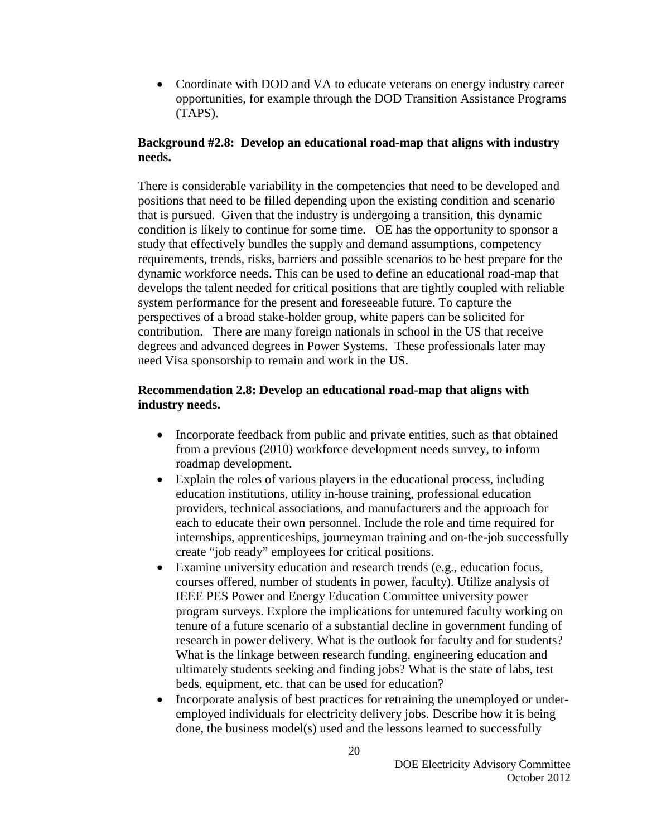• Coordinate with DOD and VA to educate veterans on energy industry career opportunities, for example through the DOD Transition Assistance Programs (TAPS).

## **Background #2.8: Develop an educational road-map that aligns with industry needs.**

There is considerable variability in the competencies that need to be developed and positions that need to be filled depending upon the existing condition and scenario that is pursued. Given that the industry is undergoing a transition, this dynamic condition is likely to continue for some time. OE has the opportunity to sponsor a study that effectively bundles the supply and demand assumptions, competency requirements, trends, risks, barriers and possible scenarios to be best prepare for the dynamic workforce needs. This can be used to define an educational road-map that develops the talent needed for critical positions that are tightly coupled with reliable system performance for the present and foreseeable future. To capture the perspectives of a broad stake-holder group, white papers can be solicited for contribution. There are many foreign nationals in school in the US that receive degrees and advanced degrees in Power Systems. These professionals later may need Visa sponsorship to remain and work in the US.

## **Recommendation 2.8: Develop an educational road-map that aligns with industry needs.**

- Incorporate feedback from public and private entities, such as that obtained from a previous (2010) workforce development needs survey, to inform roadmap development.
- Explain the roles of various players in the educational process, including education institutions, utility in-house training, professional education providers, technical associations, and manufacturers and the approach for each to educate their own personnel. Include the role and time required for internships, apprenticeships, journeyman training and on-the-job successfully create "job ready" employees for critical positions.
- Examine university education and research trends (e.g., education focus, courses offered, number of students in power, faculty). Utilize analysis of IEEE PES Power and Energy Education Committee university power program surveys. Explore the implications for untenured faculty working on tenure of a future scenario of a substantial decline in government funding of research in power delivery. What is the outlook for faculty and for students? What is the linkage between research funding, engineering education and ultimately students seeking and finding jobs? What is the state of labs, test beds, equipment, etc. that can be used for education?
- Incorporate analysis of best practices for retraining the unemployed or underemployed individuals for electricity delivery jobs. Describe how it is being done, the business model(s) used and the lessons learned to successfully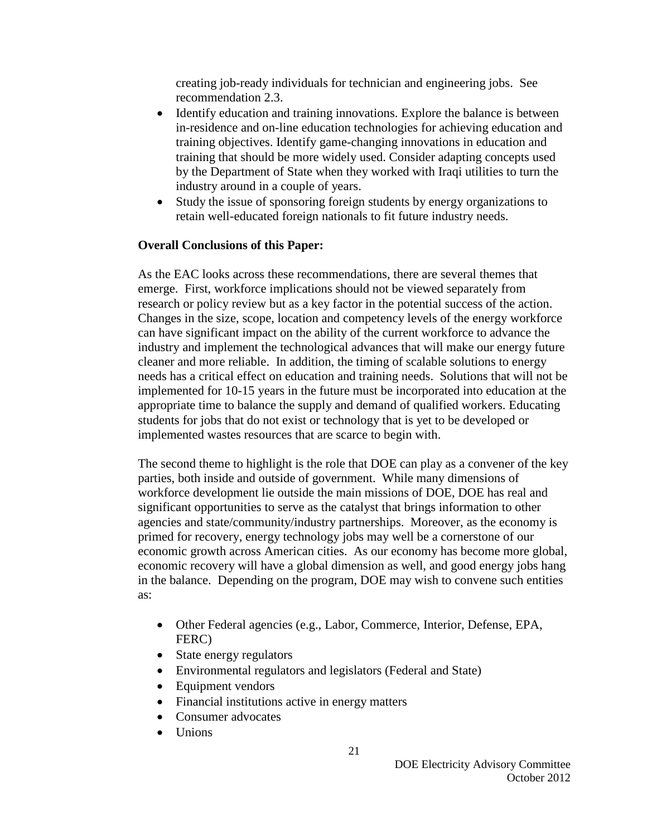creating job-ready individuals for technician and engineering jobs. See recommendation 2.3.

- Identify education and training innovations. Explore the balance is between in-residence and on-line education technologies for achieving education and training objectives. Identify game-changing innovations in education and training that should be more widely used. Consider adapting concepts used by the Department of State when they worked with Iraqi utilities to turn the industry around in a couple of years.
- Study the issue of sponsoring foreign students by energy organizations to retain well-educated foreign nationals to fit future industry needs.

## **Overall Conclusions of this Paper:**

As the EAC looks across these recommendations, there are several themes that emerge. First, workforce implications should not be viewed separately from research or policy review but as a key factor in the potential success of the action. Changes in the size, scope, location and competency levels of the energy workforce can have significant impact on the ability of the current workforce to advance the industry and implement the technological advances that will make our energy future cleaner and more reliable. In addition, the timing of scalable solutions to energy needs has a critical effect on education and training needs. Solutions that will not be implemented for 10-15 years in the future must be incorporated into education at the appropriate time to balance the supply and demand of qualified workers. Educating students for jobs that do not exist or technology that is yet to be developed or implemented wastes resources that are scarce to begin with.

The second theme to highlight is the role that DOE can play as a convener of the key parties, both inside and outside of government. While many dimensions of workforce development lie outside the main missions of DOE, DOE has real and significant opportunities to serve as the catalyst that brings information to other agencies and state/community/industry partnerships. Moreover, as the economy is primed for recovery, energy technology jobs may well be a cornerstone of our economic growth across American cities. As our economy has become more global, economic recovery will have a global dimension as well, and good energy jobs hang in the balance. Depending on the program, DOE may wish to convene such entities as:

- Other Federal agencies (e.g., Labor, Commerce, Interior, Defense, EPA, FERC)
- State energy regulators
- Environmental regulators and legislators (Federal and State)
- Equipment vendors
- Financial institutions active in energy matters
- Consumer advocates
- Unions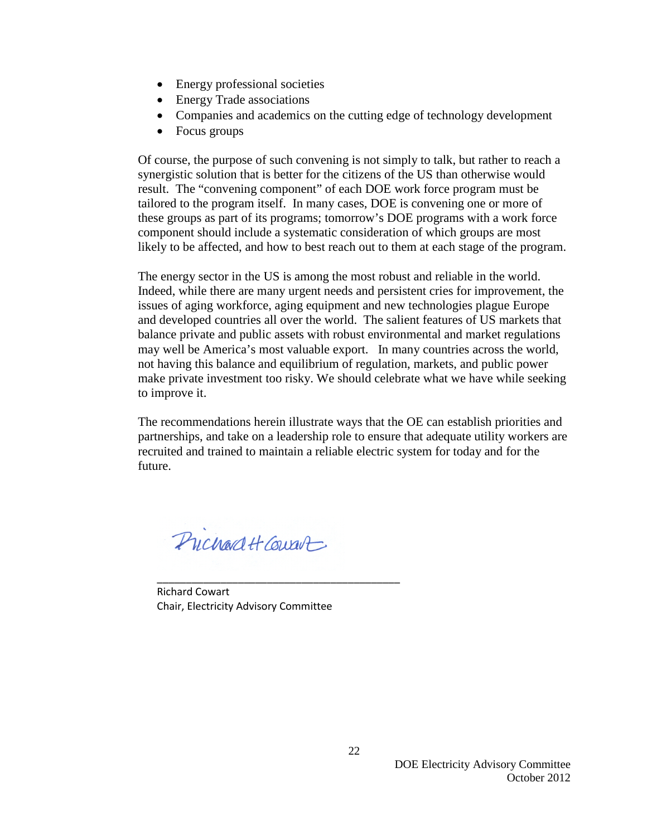- Energy professional societies
- Energy Trade associations
- Companies and academics on the cutting edge of technology development
- Focus groups

Of course, the purpose of such convening is not simply to talk, but rather to reach a synergistic solution that is better for the citizens of the US than otherwise would result. The "convening component" of each DOE work force program must be tailored to the program itself. In many cases, DOE is convening one or more of these groups as part of its programs; tomorrow's DOE programs with a work force component should include a systematic consideration of which groups are most likely to be affected, and how to best reach out to them at each stage of the program.

The energy sector in the US is among the most robust and reliable in the world. Indeed, while there are many urgent needs and persistent cries for improvement, the issues of aging workforce, aging equipment and new technologies plague Europe and developed countries all over the world. The salient features of US markets that balance private and public assets with robust environmental and market regulations may well be America's most valuable export. In many countries across the world, not having this balance and equilibrium of regulation, markets, and public power make private investment too risky. We should celebrate what we have while seeking to improve it.

The recommendations herein illustrate ways that the OE can establish priorities and partnerships, and take on a leadership role to ensure that adequate utility workers are recruited and trained to maintain a reliable electric system for today and for the future.

Prichard H Court

Richard Cowart Chair, Electricity Advisory Committee

\_\_\_\_\_\_\_\_\_\_\_\_\_\_\_\_\_\_\_\_\_\_\_\_\_\_\_\_\_\_\_\_\_\_\_\_\_\_\_\_\_\_